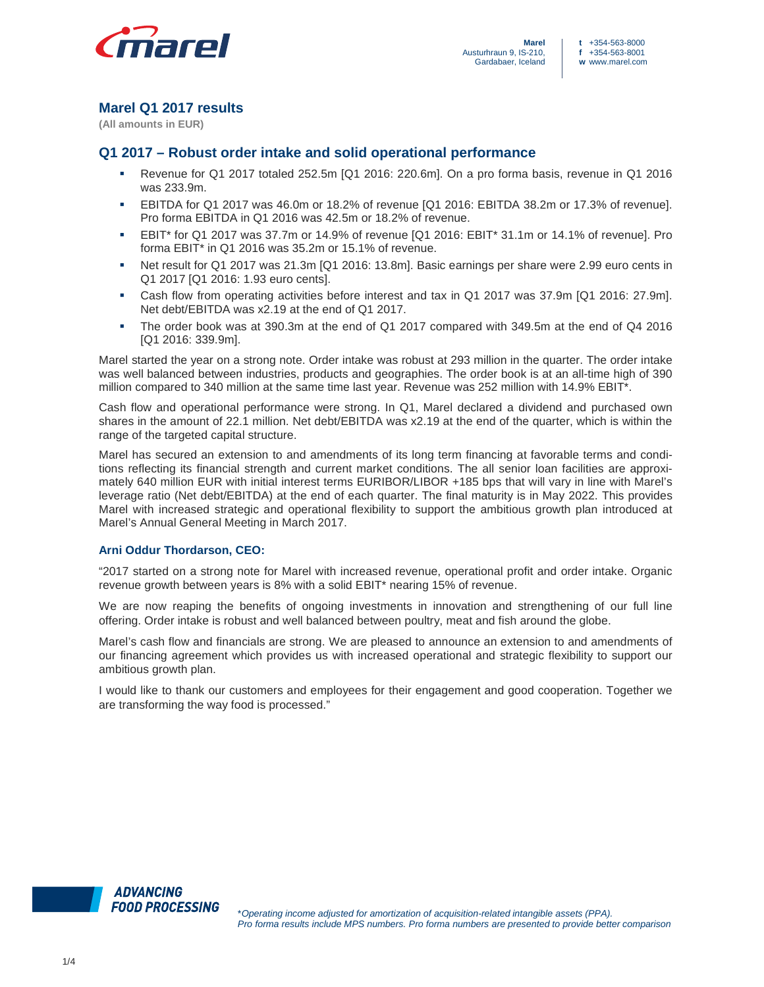

# **Marel Q1 2017 results**

**(All amounts in EUR)** 

# **Q1 2017 – Robust order intake and solid operational performance**

- Revenue for Q1 2017 totaled 252.5m [Q1 2016: 220.6m]. On a pro forma basis, revenue in Q1 2016 was 233.9m.
- EBITDA for Q1 2017 was 46.0m or 18.2% of revenue [Q1 2016: EBITDA 38.2m or 17.3% of revenue]. Pro forma EBITDA in Q1 2016 was 42.5m or 18.2% of revenue.
- EBIT\* for Q1 2017 was 37.7m or 14.9% of revenue [Q1 2016: EBIT\* 31.1m or 14.1% of revenue]. Pro forma EBIT\* in Q1 2016 was 35.2m or 15.1% of revenue.
- Net result for Q1 2017 was 21.3m [Q1 2016: 13.8m]. Basic earnings per share were 2.99 euro cents in Q1 2017 [Q1 2016: 1.93 euro cents].
- Cash flow from operating activities before interest and tax in Q1 2017 was 37.9m [Q1 2016: 27.9m]. Net debt/EBITDA was x2.19 at the end of Q1 2017.
- The order book was at 390.3m at the end of Q1 2017 compared with 349.5m at the end of Q4 2016 [Q1 2016: 339.9m].

Marel started the year on a strong note. Order intake was robust at 293 million in the quarter. The order intake was well balanced between industries, products and geographies. The order book is at an all-time high of 390 million compared to 340 million at the same time last year. Revenue was 252 million with 14.9% EBIT\*.

Cash flow and operational performance were strong. In Q1, Marel declared a dividend and purchased own shares in the amount of 22.1 million. Net debt/EBITDA was x2.19 at the end of the quarter, which is within the range of the targeted capital structure.

Marel has secured an extension to and amendments of its long term financing at favorable terms and conditions reflecting its financial strength and current market conditions. The all senior loan facilities are approximately 640 million EUR with initial interest terms EURIBOR/LIBOR +185 bps that will vary in line with Marel's leverage ratio (Net debt/EBITDA) at the end of each quarter. The final maturity is in May 2022. This provides Marel with increased strategic and operational flexibility to support the ambitious growth plan introduced at Marel's Annual General Meeting in March 2017.

## **Arni Oddur Thordarson, CEO:**

"2017 started on a strong note for Marel with increased revenue, operational profit and order intake. Organic revenue growth between years is 8% with a solid EBIT\* nearing 15% of revenue.

We are now reaping the benefits of ongoing investments in innovation and strengthening of our full line offering. Order intake is robust and well balanced between poultry, meat and fish around the globe.

Marel's cash flow and financials are strong. We are pleased to announce an extension to and amendments of our financing agreement which provides us with increased operational and strategic flexibility to support our ambitious growth plan.

I would like to thank our customers and employees for their engagement and good cooperation. Together we are transforming the way food is processed."

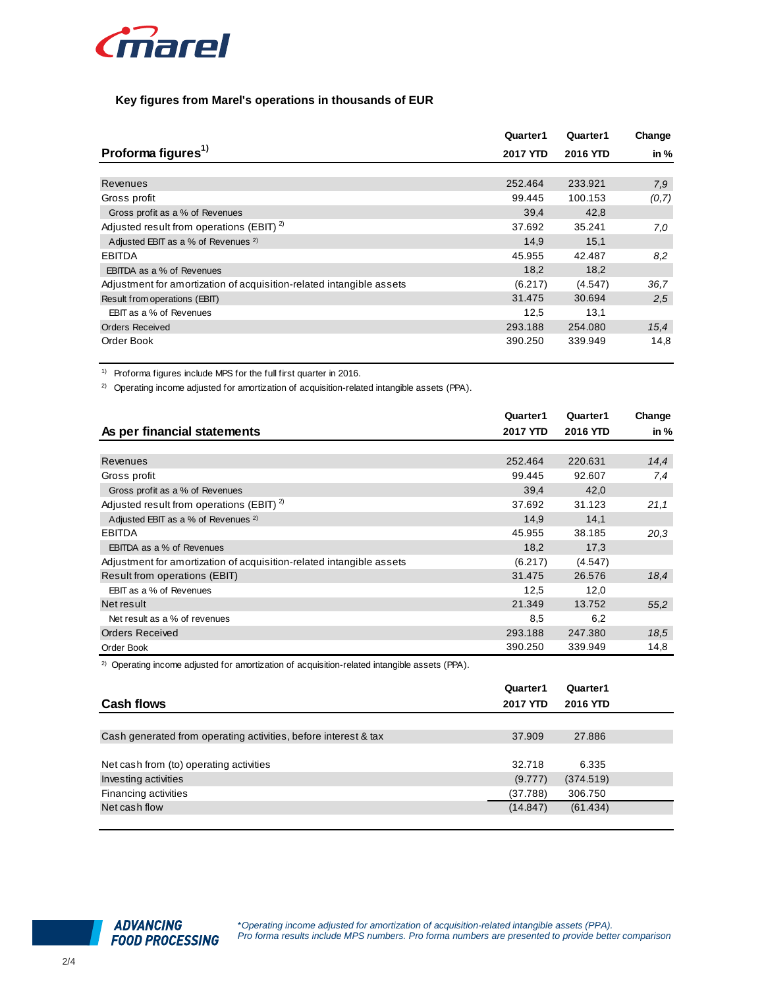

### **Key figures from Marel's operations in thousands of EUR**

|                                                                      | Quarter1        | Quarter1 | Change |
|----------------------------------------------------------------------|-----------------|----------|--------|
| Proforma figures <sup>1)</sup>                                       | <b>2017 YTD</b> | 2016 YTD | in $%$ |
|                                                                      |                 |          |        |
| Revenues                                                             | 252,464         | 233.921  | 7,9    |
| Gross profit                                                         | 99.445          | 100.153  | (0,7)  |
| Gross profit as a % of Revenues                                      | 39,4            | 42,8     |        |
| Adjusted result from operations (EBIT) <sup>2)</sup>                 | 37.692          | 35.241   | 7.0    |
| Adjusted EBIT as a % of Revenues <sup>2)</sup>                       | 14,9            | 15,1     |        |
| <b>EBITDA</b>                                                        | 45.955          | 42.487   | 8,2    |
| <b>EBITDA</b> as a % of Revenues                                     | 18,2            | 18,2     |        |
| Adjustment for amortization of acquisition-related intangible assets | (6.217)         | (4.547)  | 36,7   |
| Result from operations (EBIT)                                        | 31.475          | 30.694   | 2.5    |
| EBIT as a % of Revenues                                              | 12,5            | 13,1     |        |
| <b>Orders Received</b>                                               | 293.188         | 254.080  | 15,4   |
| Order Book                                                           | 390.250         | 339.949  | 14,8   |

1) Proforma figures include MPS for the full first quarter in 2016.

<sup>2)</sup> Operating income adjusted for amortization of acquisition-related intangible assets (PPA).

|                                                                      | Quarter1 | Quarter1 | Change |
|----------------------------------------------------------------------|----------|----------|--------|
| As per financial statements                                          | 2017 YTD | 2016 YTD | in %   |
|                                                                      |          |          |        |
| Revenues                                                             | 252.464  | 220.631  | 14,4   |
| Gross profit                                                         | 99.445   | 92.607   | 7,4    |
| Gross profit as a % of Revenues                                      | 39,4     | 42,0     |        |
| Adjusted result from operations (EBIT) <sup>2)</sup>                 | 37.692   | 31.123   | 21,1   |
| Adjusted EBIT as a % of Revenues <sup>2)</sup>                       | 14,9     | 14,1     |        |
| <b>EBITDA</b>                                                        | 45.955   | 38.185   | 20,3   |
| EBITDA as a % of Revenues                                            | 18,2     | 17,3     |        |
| Adjustment for amortization of acquisition-related intangible assets | (6.217)  | (4.547)  |        |
| Result from operations (EBIT)                                        | 31.475   | 26.576   | 18,4   |
| EBIT as a % of Revenues                                              | 12,5     | 12,0     |        |
| Net result                                                           | 21.349   | 13.752   | 55,2   |
| Net result as a % of revenues                                        | 8,5      | 6,2      |        |
| <b>Orders Received</b>                                               | 293.188  | 247.380  | 18,5   |
| Order Book                                                           | 390.250  | 339.949  | 14,8   |

<sup>2)</sup> Operating income adjusted for amortization of acquisition-related intangible assets (PPA).

|                                                                 | Quarter1        | Quarter1  |  |
|-----------------------------------------------------------------|-----------------|-----------|--|
| <b>Cash flows</b>                                               | <b>2017 YTD</b> | 2016 YTD  |  |
|                                                                 |                 |           |  |
| Cash generated from operating activities, before interest & tax | 37.909          | 27.886    |  |
|                                                                 |                 |           |  |
| Net cash from (to) operating activities                         | 32.718          | 6.335     |  |
| Investing activities                                            | (9.777)         | (374.519) |  |
| Financing activities                                            | (37.788)        | 306.750   |  |
| Net cash flow                                                   | (14.847)        | (61.434)  |  |
|                                                                 |                 |           |  |

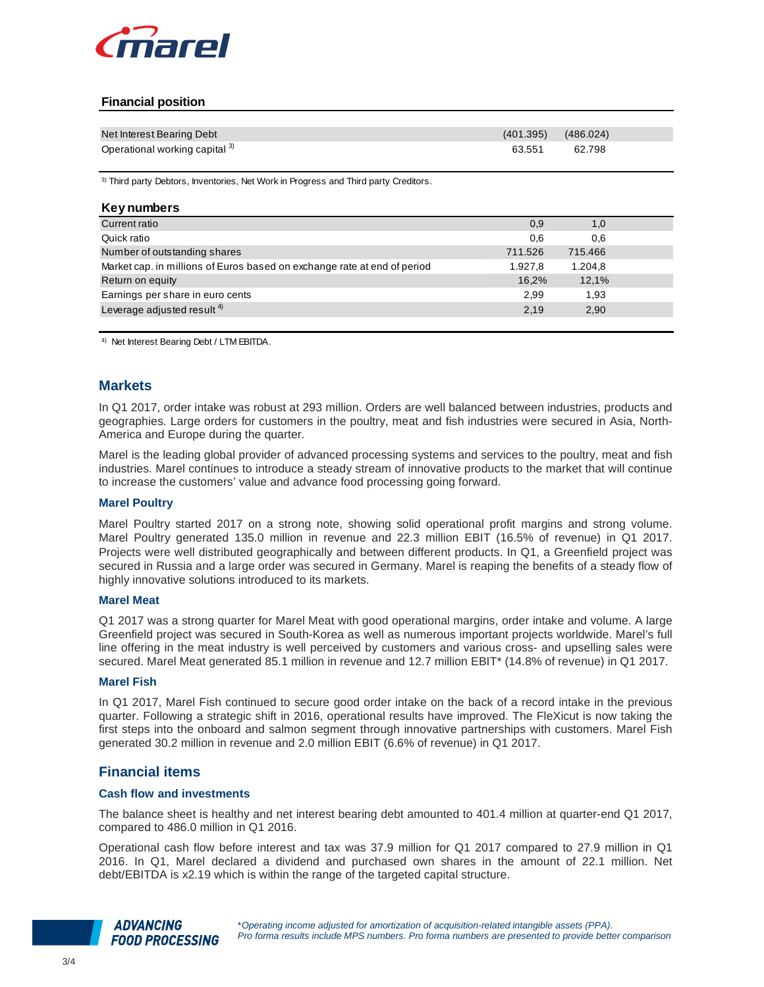

# **Financial position**

| Net Interest Bearing Debt      | $(401.395)$ $(486.024)$ |        |
|--------------------------------|-------------------------|--------|
| Operational working capital 3) | 63.551                  | 62.798 |

<sup>3)</sup> Third party Debtors, Inventories, Net Work in Progress and Third party Creditors.

| <b>Key numbers</b>                                                       |         |         |  |
|--------------------------------------------------------------------------|---------|---------|--|
| Current ratio                                                            | 0,9     | 1,0     |  |
| Quick ratio                                                              | 0.6     | 0,6     |  |
| Number of outstanding shares                                             | 711.526 | 715.466 |  |
| Market cap. in millions of Euros based on exchange rate at end of period | 1.927.8 | 1.204,8 |  |
| Return on equity                                                         | 16,2%   | 12,1%   |  |
| Earnings per share in euro cents                                         | 2,99    | 1,93    |  |
| Leverage adjusted result $4$ )                                           | 2,19    | 2,90    |  |
|                                                                          |         |         |  |

4) Net Interest Bearing Debt / LTM EBITDA.

# **Markets**

In Q1 2017, order intake was robust at 293 million. Orders are well balanced between industries, products and geographies. Large orders for customers in the poultry, meat and fish industries were secured in Asia, North-America and Europe during the quarter.

Marel is the leading global provider of advanced processing systems and services to the poultry, meat and fish industries. Marel continues to introduce a steady stream of innovative products to the market that will continue to increase the customers' value and advance food processing going forward.

### **Marel Poultry**

Marel Poultry started 2017 on a strong note, showing solid operational profit margins and strong volume. Marel Poultry generated 135.0 million in revenue and 22.3 million EBIT (16.5% of revenue) in Q1 2017. Projects were well distributed geographically and between different products. In Q1, a Greenfield project was secured in Russia and a large order was secured in Germany. Marel is reaping the benefits of a steady flow of highly innovative solutions introduced to its markets.

#### **Marel Meat**

Q1 2017 was a strong quarter for Marel Meat with good operational margins, order intake and volume. A large Greenfield project was secured in South-Korea as well as numerous important projects worldwide. Marel's full line offering in the meat industry is well perceived by customers and various cross- and upselling sales were secured. Marel Meat generated 85.1 million in revenue and 12.7 million EBIT\* (14.8% of revenue) in Q1 2017.

#### **Marel Fish**

In Q1 2017, Marel Fish continued to secure good order intake on the back of a record intake in the previous quarter. Following a strategic shift in 2016, operational results have improved. The FleXicut is now taking the first steps into the onboard and salmon segment through innovative partnerships with customers. Marel Fish generated 30.2 million in revenue and 2.0 million EBIT (6.6% of revenue) in Q1 2017.

## **Financial items**

### **Cash flow and investments**

The balance sheet is healthy and net interest bearing debt amounted to 401.4 million at quarter-end Q1 2017, compared to 486.0 million in Q1 2016.

Operational cash flow before interest and tax was 37.9 million for Q1 2017 compared to 27.9 million in Q1 2016. In Q1, Marel declared a dividend and purchased own shares in the amount of 22.1 million. Net debt/EBITDA is x2.19 which is within the range of the targeted capital structure.